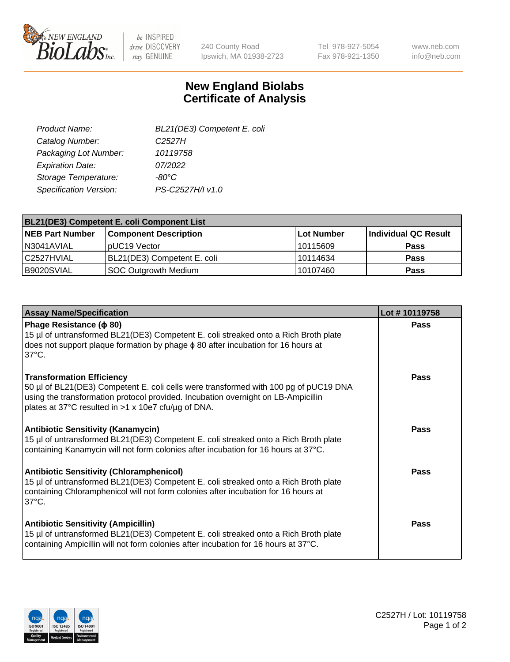

 $be$  INSPIRED drive DISCOVERY stay GENUINE

240 County Road Ipswich, MA 01938-2723 Tel 978-927-5054 Fax 978-921-1350 www.neb.com info@neb.com

## **New England Biolabs Certificate of Analysis**

| BL21(DE3) Competent E. coli |
|-----------------------------|
| C <sub>2527</sub> H         |
| 10119758                    |
| 07/2022                     |
| -80°C                       |
| PS-C2527H/I v1.0            |
|                             |

| <b>BL21(DE3) Competent E. coli Component List</b> |                              |             |                      |  |
|---------------------------------------------------|------------------------------|-------------|----------------------|--|
| <b>NEB Part Number</b>                            | <b>Component Description</b> | ∣Lot Number | Individual QC Result |  |
| N3041AVIAL                                        | pUC19 Vector                 | l 10115609  | <b>Pass</b>          |  |
| l C2527HVIAL                                      | BL21(DE3) Competent E. coli  | 10114634    | <b>Pass</b>          |  |
| B9020SVIAL                                        | SOC Outgrowth Medium         | 10107460    | <b>Pass</b>          |  |

| <b>Assay Name/Specification</b>                                                                                                                                                                                                                                      | Lot #10119758 |
|----------------------------------------------------------------------------------------------------------------------------------------------------------------------------------------------------------------------------------------------------------------------|---------------|
| Phage Resistance ( $\phi$ 80)<br>15 µl of untransformed BL21(DE3) Competent E. coli streaked onto a Rich Broth plate<br>does not support plaque formation by phage $\phi$ 80 after incubation for 16 hours at<br>$37^{\circ}$ C.                                     | <b>Pass</b>   |
| <b>Transformation Efficiency</b><br>50 µl of BL21(DE3) Competent E. coli cells were transformed with 100 pg of pUC19 DNA<br>using the transformation protocol provided. Incubation overnight on LB-Ampicillin<br>plates at 37°C resulted in >1 x 10e7 cfu/µg of DNA. | <b>Pass</b>   |
| <b>Antibiotic Sensitivity (Kanamycin)</b><br>15 µl of untransformed BL21(DE3) Competent E. coli streaked onto a Rich Broth plate<br>containing Kanamycin will not form colonies after incubation for 16 hours at 37°C.                                               | Pass          |
| <b>Antibiotic Sensitivity (Chloramphenicol)</b><br>15 µl of untransformed BL21(DE3) Competent E. coli streaked onto a Rich Broth plate<br>containing Chloramphenicol will not form colonies after incubation for 16 hours at<br>$37^{\circ}$ C.                      | Pass          |
| <b>Antibiotic Sensitivity (Ampicillin)</b><br>15 µl of untransformed BL21(DE3) Competent E. coli streaked onto a Rich Broth plate<br>containing Ampicillin will not form colonies after incubation for 16 hours at 37°C.                                             | Pass          |